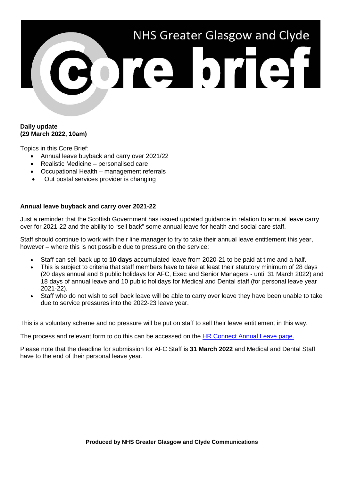# NHS Greater Glasgow and Clyde 3019 0191

# **Daily update (29 March 2022, 10am)**

Topics in this Core Brief:

- Annual leave buyback and carry over 2021/22
- Realistic Medicine personalised care
- Occupational Health management referrals
- Out postal services provider is changing

## **Annual leave buyback and carry over 2021-22**

Just a reminder that the Scottish Government has issued updated guidance in relation to annual leave carry over for 2021-22 and the ability to "sell back" some annual leave for health and social care staff.

Staff should continue to work with their line manager to try to take their annual leave entitlement this year, however – where this is not possible due to pressure on the service:

- Staff can sell back up to **10 days** accumulated leave from 2020-21 to be paid at time and a half.
- This is subject to criteria that staff members have to take at least their statutory minimum of 28 days (20 days annual and 8 public holidays for AFC, Exec and Senior Managers - until 31 March 2022) and 18 days of annual leave and 10 public holidays for Medical and Dental staff (for personal leave year 2021-22).
- Staff who do not wish to sell back leave will be able to carry over leave they have been unable to take due to service pressures into the 2022-23 leave year.

This is a voluntary scheme and no pressure will be put on staff to sell their leave entitlement in this way.

The process and relevant form to do this can be accessed on the [HR Connect Annual Leave page.](https://www.nhsggc.org.uk/working-with-us/hr-connect/policies-and-staff-governance/policies/annual-leave-overview/annual-leave-buy-back-and-carry-over-2021-22/)

Please note that the deadline for submission for AFC Staff is **31 March 2022** and Medical and Dental Staff have to the end of their personal leave year.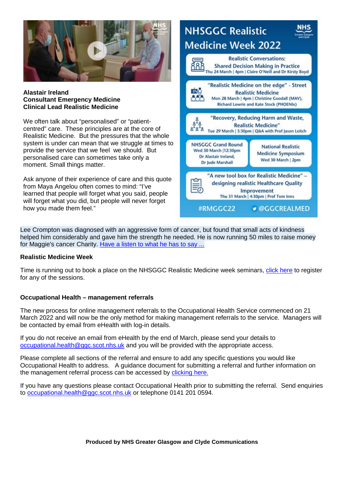

#### **Alastair Ireland Consultant Emergency Medicine Clinical Lead Realistic Medicine**

We often talk about "personalised" or "patientcentred" care. These principles are at the core of Realistic Medicine. But the pressures that the whole system is under can mean that we struggle at times to provide the service that we feel we should. But personalised care can sometimes take only a moment. Small things matter.

Ask anyone of their experience of care and this quote from Maya Angelou often comes to mind: "I've learned that people will forget what you said, people will forget what you did, but people will never forget how you made them feel."



Lee Crompton was diagnosed with an aggressive form of cancer, but found that small acts of kindness helped him considerably and gave him the strength he needed. He is now running 50 miles to raise money for Maggie's cancer Charity. [Have a listen to what he has to say ...](https://youtu.be/p6ns5LpLkeU)

## **Realistic Medicine Week**

Time is running out to book a place on the NHSGGC Realistic Medicine week seminars, [click here](https://www.nhsggc.org.uk/patients-and-visitors/realistic-medicine/nhsggc-realistic-medicine-week-2022/) to register for any of the sessions.

## **Occupational Health – management referrals**

The new process for online management referrals to the Occupational Health Service commenced on 21 March 2022 and will now be the only method for making management referrals to the service. Managers will be contacted by email from eHealth with log-in details.

If you do not receive an email from eHealth by the end of March, please send your details to [occupational.health@ggc.scot.nhs.uk](mailto:occupational.health@ggc.scot.nhs.uk) and you will be provided with the appropriate access.

Please complete all sections of the referral and ensure to add any specific questions you would like Occupational Health to address. A guidance document for submitting a referral and further information on the management referral process can be accessed by [clicking here.](https://www.nhsggc.org.uk/working-with-us/hr-connect/occupational-health/management-referrals/)

If you have any questions please contact Occupational Health prior to submitting the referral. Send enquiries to [occupational.health@ggc.scot.nhs.uk](mailto:occupational.health@ggc.scot.nhs.uk) or telephone 0141 201 0594.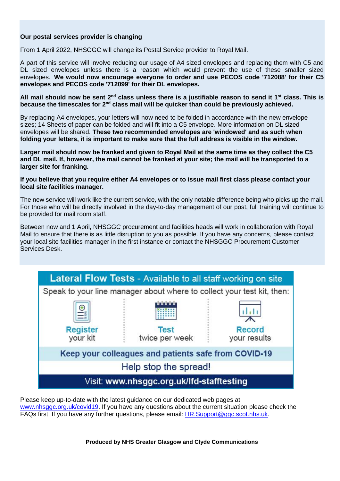# **Our postal services provider is changing**

From 1 April 2022, NHSGGC will change its Postal Service provider to Royal Mail.

A part of this service will involve reducing our usage of A4 sized envelopes and replacing them with C5 and DL sized envelopes unless there is a reason which would prevent the use of these smaller sized envelopes. **We would now encourage everyone to order and use PECOS code '712088' for their C5 envelopes and PECOS code '712099' for their DL envelopes.**

**All mail should now be sent 2nd class unless there is a justifiable reason to send it 1st class. This is because the timescales for 2nd class mail will be quicker than could be previously achieved.**

By replacing A4 envelopes, your letters will now need to be folded in accordance with the new envelope sizes; 14 Sheets of paper can be folded and will fit into a C5 envelope. More information on DL sized envelopes will be shared. **These two recommended envelopes are 'windowed' and as such when folding your letters, it is important to make sure that the full address is visible in the window.**

**Larger mail should now be franked and given to Royal Mail at the same time as they collect the C5 and DL mail. If, however, the mail cannot be franked at your site; the mail will be transported to a larger site for franking.**

**If you believe that you require either A4 envelopes or to issue mail first class please contact your local site facilities manager.**

The new service will work like the current service, with the only notable difference being who picks up the mail. For those who will be directly involved in the day-to-day management of our post, full training will continue to be provided for mail room staff.

Between now and 1 April, NHSGGC procurement and facilities heads will work in collaboration with Royal Mail to ensure that there is as little disruption to you as possible. If you have any concerns, please contact your local site facilities manager in the first instance or contact the NHSGGC Procurement Customer Services Desk.



Please keep up-to-date with the latest guidance on our dedicated web pages at: [www.nhsggc.org.uk/covid19.](http://www.nhsggc.org.uk/covid19) If you have any questions about the current situation please check the FAQs first. If you have any further questions, please email: [HR.Support@ggc.scot.nhs.uk.](mailto:HR.Support@ggc.scot.nhs.uk)

**Produced by NHS Greater Glasgow and Clyde Communications**